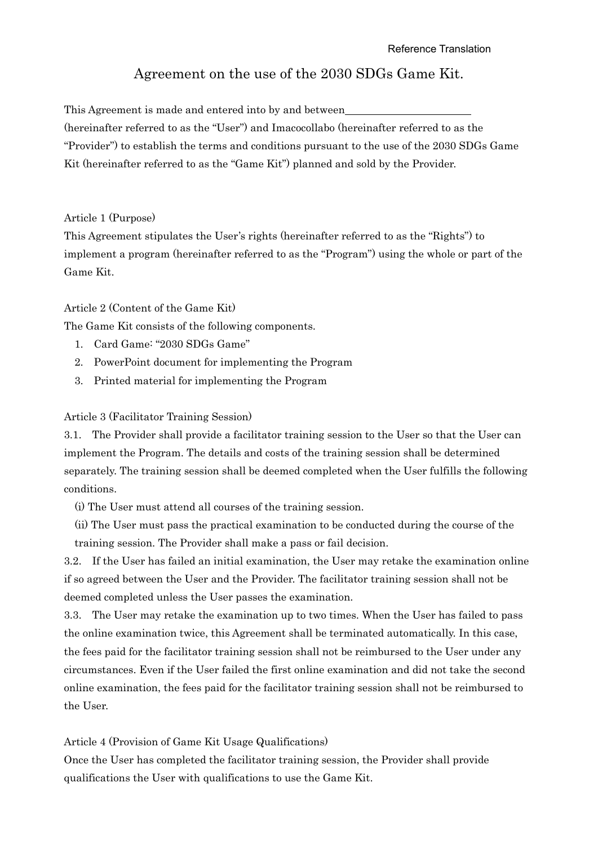# Agreement on the use of the 2030 SDGs Game Kit.

This Agreement is made and entered into by and between (hereinafter referred to as the "User") and Imacocollabo (hereinafter referred to as the "Provider") to establish the terms and conditions pursuant to the use of the 2030 SDGs Game Kit (hereinafter referred to as the "Game Kit") planned and sold by the Provider.

#### Article 1 (Purpose)

This Agreement stipulates the User's rights (hereinafter referred to as the "Rights") to implement a program (hereinafter referred to as the "Program") using the whole or part of the Game Kit.

#### Article 2 (Content of the Game Kit)

The Game Kit consists of the following components.

- 1. Card Game: "2030 SDGs Game"
- 2. PowerPoint document for implementing the Program
- 3. Printed material for implementing the Program

#### Article 3 (Facilitator Training Session)

3.1. The Provider shall provide a facilitator training session to the User so that the User can implement the Program. The details and costs of the training session shall be determined separately. The training session shall be deemed completed when the User fulfills the following conditions.

(i) The User must attend all courses of the training session.

(ii) The User must pass the practical examination to be conducted during the course of the training session. The Provider shall make a pass or fail decision.

3.2. If the User has failed an initial examination, the User may retake the examination online if so agreed between the User and the Provider. The facilitator training session shall not be deemed completed unless the User passes the examination.

3.3. The User may retake the examination up to two times. When the User has failed to pass the online examination twice, this Agreement shall be terminated automatically. In this case, the fees paid for the facilitator training session shall not be reimbursed to the User under any circumstances. Even if the User failed the first online examination and did not take the second online examination, the fees paid for the facilitator training session shall not be reimbursed to the User.

Article 4 (Provision of Game Kit Usage Qualifications)

Once the User has completed the facilitator training session, the Provider shall provide qualifications the User with qualifications to use the Game Kit.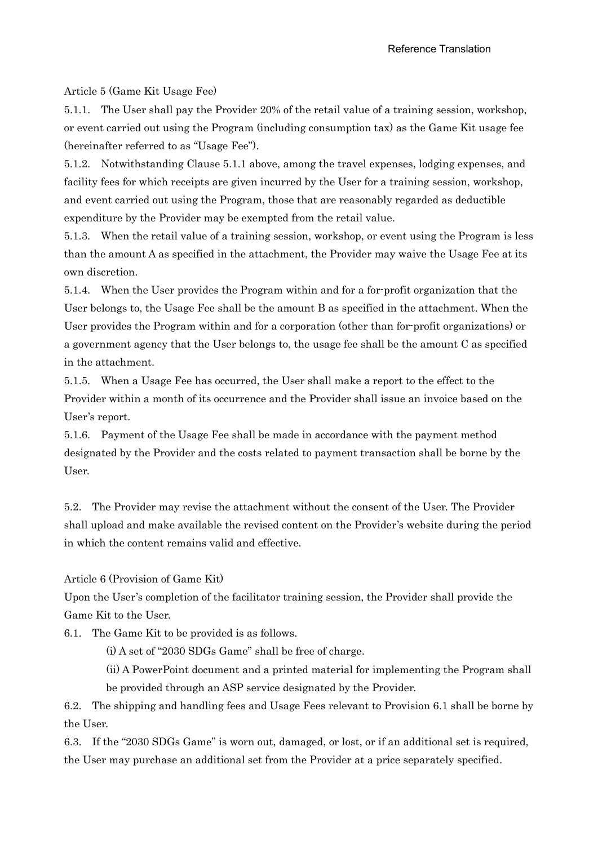Article 5 (Game Kit Usage Fee)

5.1.1. The User shall pay the Provider 20% of the retail value of a training session, workshop, or event carried out using the Program (including consumption tax) as the Game Kit usage fee (hereinafter referred to as "Usage Fee").

5.1.2. Notwithstanding Clause 5.1.1 above, among the travel expenses, lodging expenses, and facility fees for which receipts are given incurred by the User for a training session, workshop, and event carried out using the Program, those that are reasonably regarded as deductible expenditure by the Provider may be exempted from the retail value.

5.1.3. When the retail value of a training session, workshop, or event using the Program is less than the amount A as specified in the attachment, the Provider may waive the Usage Fee at its own discretion.

5.1.4. When the User provides the Program within and for a for-profit organization that the User belongs to, the Usage Fee shall be the amount B as specified in the attachment. When the User provides the Program within and for a corporation (other than for-profit organizations) or a government agency that the User belongs to, the usage fee shall be the amount C as specified in the attachment.

5.1.5. When a Usage Fee has occurred, the User shall make a report to the effect to the Provider within a month of its occurrence and the Provider shall issue an invoice based on the User's report.

5.1.6. Payment of the Usage Fee shall be made in accordance with the payment method designated by the Provider and the costs related to payment transaction shall be borne by the User.

5.2. The Provider may revise the attachment without the consent of the User. The Provider shall upload and make available the revised content on the Provider's website during the period in which the content remains valid and effective.

Article 6 (Provision of Game Kit)

Upon the User's completion of the facilitator training session, the Provider shall provide the Game Kit to the User.

6.1. The Game Kit to be provided is as follows.

(i) A set of "2030 SDGs Game" shall be free of charge.

(ii) A PowerPoint document and a printed material for implementing the Program shall be provided through an ASP service designated by the Provider.

6.2. The shipping and handling fees and Usage Fees relevant to Provision 6.1 shall be borne by the User.

6.3. If the "2030 SDGs Game" is worn out, damaged, or lost, or if an additional set is required, the User may purchase an additional set from the Provider at a price separately specified.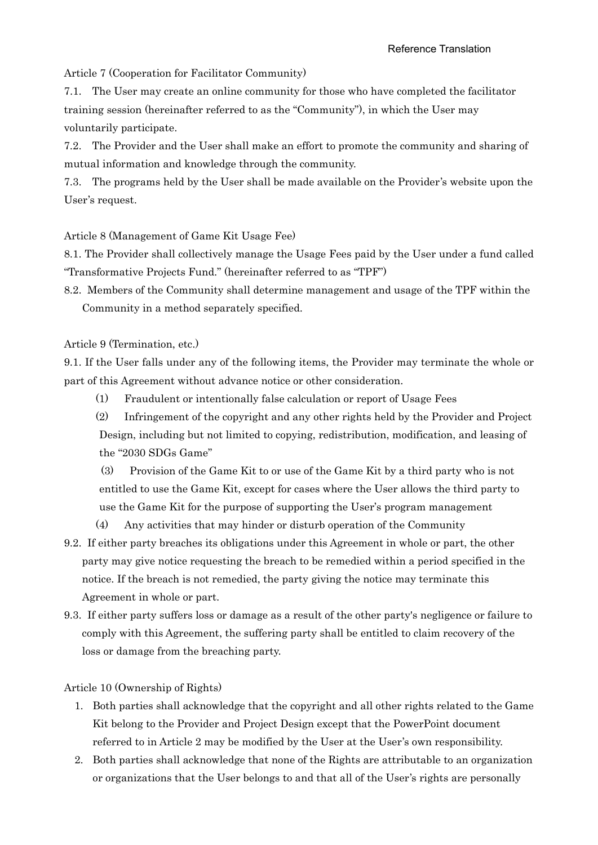Article 7 (Cooperation for Facilitator Community)

7.1. The User may create an online community for those who have completed the facilitator training session (hereinafter referred to as the "Community"), in which the User may voluntarily participate.

7.2. The Provider and the User shall make an effort to promote the community and sharing of mutual information and knowledge through the community.

7.3. The programs held by the User shall be made available on the Provider's website upon the User's request.

Article 8 (Management of Game Kit Usage Fee)

8.1. The Provider shall collectively manage the Usage Fees paid by the User under a fund called "Transformative Projects Fund." (hereinafter referred to as "TPF")

8.2. Members of the Community shall determine management and usage of the TPF within the Community in a method separately specified.

Article 9 (Termination, etc.)

9.1. If the User falls under any of the following items, the Provider may terminate the whole or part of this Agreement without advance notice or other consideration.

(1) Fraudulent or intentionally false calculation or report of Usage Fees

(2) Infringement of the copyright and any other rights held by the Provider and Project Design, including but not limited to copying, redistribution, modification, and leasing of the "2030 SDGs Game"

(3) Provision of the Game Kit to or use of the Game Kit by a third party who is not entitled to use the Game Kit, except for cases where the User allows the third party to use the Game Kit for the purpose of supporting the User's program management

- (4) Any activities that may hinder or disturb operation of the Community
- 9.2. If either party breaches its obligations under this Agreement in whole or part, the other party may give notice requesting the breach to be remedied within a period specified in the notice. If the breach is not remedied, the party giving the notice may terminate this Agreement in whole or part.
- 9.3. If either party suffers loss or damage as a result of the other party's negligence or failure to comply with this Agreement, the suffering party shall be entitled to claim recovery of the loss or damage from the breaching party.

Article 10 (Ownership of Rights)

- 1. Both parties shall acknowledge that the copyright and all other rights related to the Game Kit belong to the Provider and Project Design except that the PowerPoint document referred to in Article 2 may be modified by the User at the User's own responsibility.
- 2. Both parties shall acknowledge that none of the Rights are attributable to an organization or organizations that the User belongs to and that all of the User's rights are personally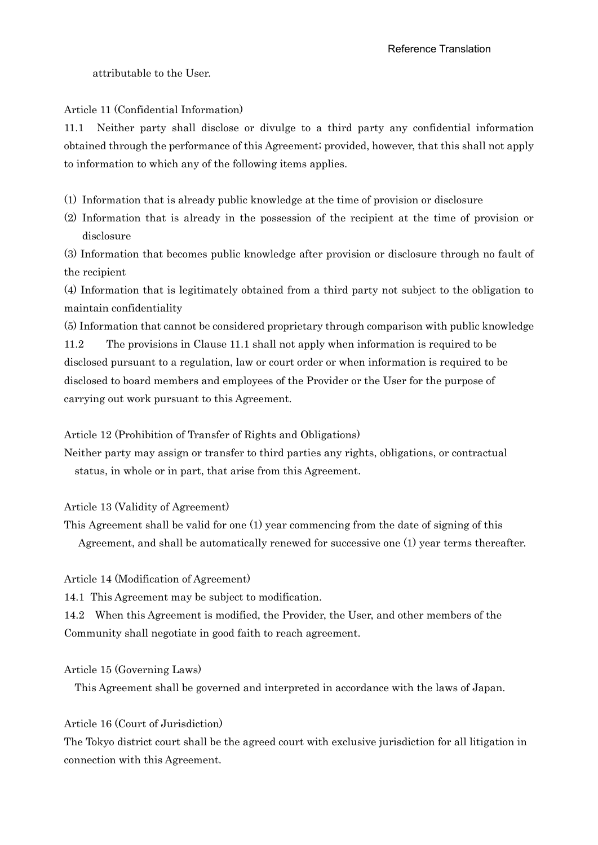attributable to the User.

Article 11 (Confidential Information)

11.1 Neither party shall disclose or divulge to a third party any confidential information obtained through the performance of this Agreement; provided, however, that this shall not apply to information to which any of the following items applies.

(1) Information that is already public knowledge at the time of provision or disclosure

(2) Information that is already in the possession of the recipient at the time of provision or disclosure

(3) Information that becomes public knowledge after provision or disclosure through no fault of the recipient

(4) Information that is legitimately obtained from a third party not subject to the obligation to maintain confidentiality

(5) Information that cannot be considered proprietary through comparison with public knowledge 11.2 The provisions in Clause 11.1 shall not apply when information is required to be disclosed pursuant to a regulation, law or court order or when information is required to be

disclosed to board members and employees of the Provider or the User for the purpose of carrying out work pursuant to this Agreement.

Article 12 (Prohibition of Transfer of Rights and Obligations)

Neither party may assign or transfer to third parties any rights, obligations, or contractual status, in whole or in part, that arise from this Agreement.

Article 13 (Validity of Agreement)

This Agreement shall be valid for one (1) year commencing from the date of signing of this Agreement, and shall be automatically renewed for successive one (1) year terms thereafter.

Article 14 (Modification of Agreement)

14.1 This Agreement may be subject to modification.

14.2 When this Agreement is modified, the Provider, the User, and other members of the Community shall negotiate in good faith to reach agreement.

Article 15 (Governing Laws)

This Agreement shall be governed and interpreted in accordance with the laws of Japan.

Article 16 (Court of Jurisdiction)

The Tokyo district court shall be the agreed court with exclusive jurisdiction for all litigation in connection with this Agreement.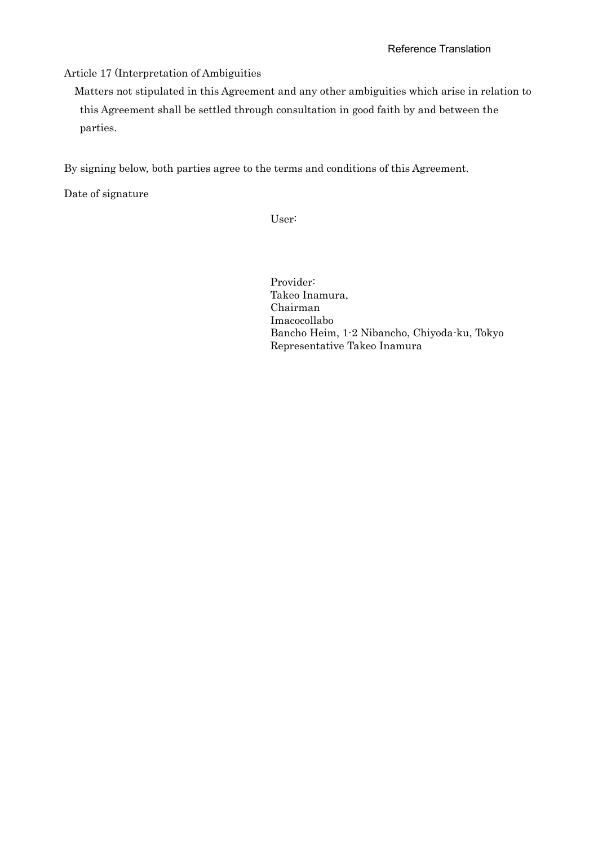Article 17 (Interpretation of Ambiguities

Matters not stipulated in this Agreement and any other ambiguities which arise in relation to this Agreement shall be settled through consultation in good faith by and between the parties.

By signing below, both parties agree to the terms and conditions of this Agreement.

Date of signature

User:

Provider: Takeo Inamura, Chairman Imacocollabo Bancho Heim, 1-2 Nibancho, Chiyoda-ku, Tokyo Representative Takeo Inamura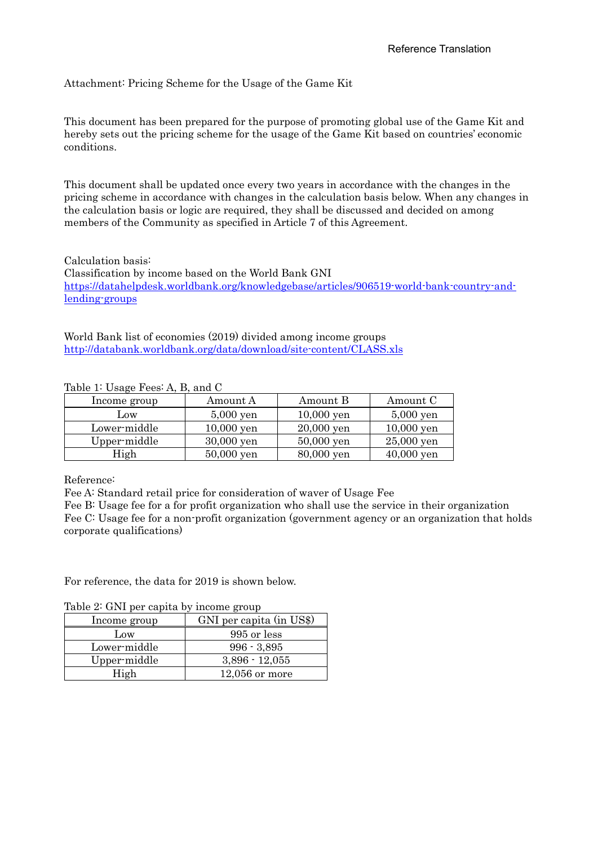Attachment: Pricing Scheme for the Usage of the Game Kit

This document has been prepared for the purpose of promoting global use of the Game Kit and hereby sets out the pricing scheme for the usage of the Game Kit based on countries' economic conditions.

This document shall be updated once every two years in accordance with the changes in the pricing scheme in accordance with changes in the calculation basis below. When any changes in the calculation basis or logic are required, they shall be discussed and decided on among members of the Community as specified in Article 7 of this Agreement.

Calculation basis: Classification by income based on the World Bank GNI [https://datahelpdesk.worldbank.org/knowledgebase/articles/906519-world-bank-country-and](https://datahelpdesk.worldbank.org/knowledgebase/articles/906519-world-bank-country-and-lending-groups)[lending-groups](https://datahelpdesk.worldbank.org/knowledgebase/articles/906519-world-bank-country-and-lending-groups)

World Bank list of economies (2019) divided among income groups <http://databank.worldbank.org/data/download/site-content/CLASS.xls>

| Income group | Amount A     | Amount B     | Amount C     |
|--------------|--------------|--------------|--------------|
| Low          | $5,000$ yen  | $10,000$ yen | $5,000$ yen  |
| Lower-middle | $10,000$ yen | $20,000$ yen | $10,000$ yen |
| Upper-middle | 30,000 yen   | $50,000$ yen | $25,000$ yen |
| High         | $50,000$ yen | 80,000 yen   | $40,000$ yen |

### Table 1: Usage  $F$ ees: A, B, and C.

Reference:

Fee A: Standard retail price for consideration of waver of Usage Fee

Fee B: Usage fee for a for profit organization who shall use the service in their organization Fee C: Usage fee for a non-profit organization (government agency or an organization that holds corporate qualifications)

For reference, the data for 2019 is shown below.

| rable 2. Give per capita by income group |              |                          |
|------------------------------------------|--------------|--------------------------|
|                                          | Income group | GNI per capita (in US\$) |
|                                          | Low          | 995 or less              |
|                                          | Lower-middle | $996 - 3,895$            |
|                                          | Upper-middle | $3,896 - 12,055$         |
|                                          | High         | $12,056$ or more         |

Table 2: GNI per capita by income group